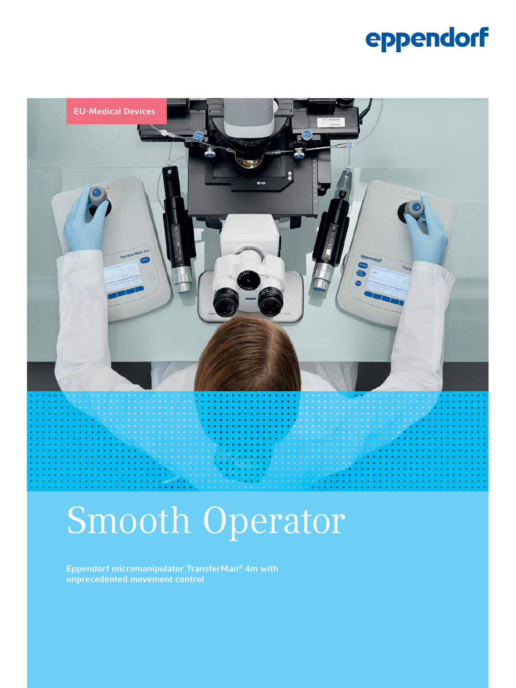### eppendorf



# Smooth Operator

Eppendorf micromanipulator TransferMan® 4m with unprecedented movement control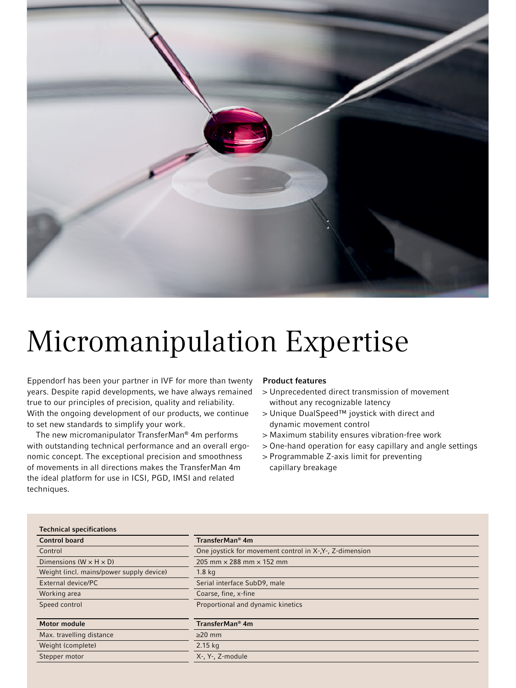

### Micromanipulation Expertise

Eppendorf has been your partner in IVF for more than twenty years. Despite rapid developments, we have always remained true to our principles of precision, quality and reliability. With the ongoing development of our products, we continue to set new standards to simplify your work.

The new micromanipulator TransferMan® 4m performs with outstanding technical performance and an overall ergonomic concept. The exceptional precision and smoothness of movements in all directions makes the TransferMan 4m the ideal platform for use in ICSI, PGD, IMSI and related techniques.

#### Product features

- > Unprecedented direct transmission of movement without any recognizable latency
- > Unique DualSpeed™ joystick with direct and dynamic movement control
- > Maximum stability ensures vibration-free work
- > One-hand operation for easy capillary and angle settings
- > Programmable Z-axis limit for preventing capillary breakage

| <b>Technical specifications</b>          |                                                          |
|------------------------------------------|----------------------------------------------------------|
| <b>Control board</b>                     | TransferMan <sup>®</sup> 4m                              |
| Control                                  | One joystick for movement control in X-, Y-, Z-dimension |
| Dimensions ( $W \times H \times D$ )     | 205 mm $\times$ 288 mm $\times$ 152 mm                   |
| Weight (incl. mains/power supply device) | 1.8 <sub>kq</sub>                                        |
| External device/PC                       | Serial interface SubD9, male                             |
| Working area                             | Coarse, fine, x-fine                                     |
| Speed control                            | Proportional and dynamic kinetics                        |
| <b>Motor module</b>                      | TransferMan <sup>®</sup> 4m                              |
| Max. travelling distance                 | $\geq$ 20 mm                                             |
| Weight (complete)                        | $2.15$ kg                                                |
| Stepper motor                            | X-, Y-, Z-module                                         |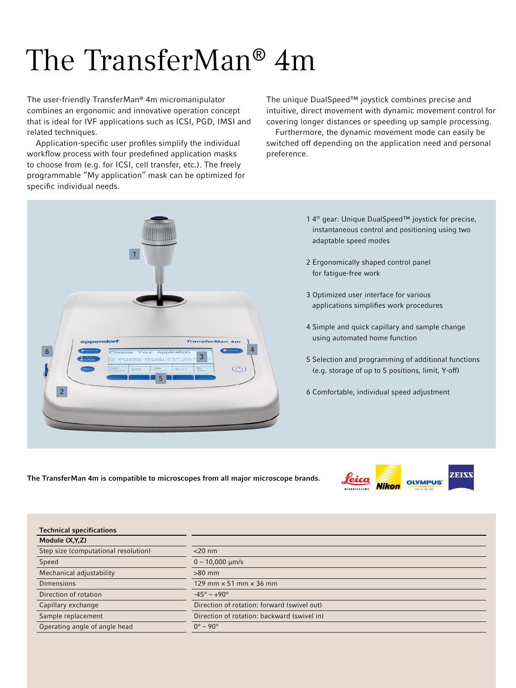## The TransferMan® 4m

The user-friendly TransferMan® 4m micromanipulator combines an ergonomic and innovative operation concept that is ideal for IVF applications such as ICSI, PGD, IMSI and related techniques.

Application-specific user profiles simplify the individual workflow process with four predefined application masks to choose from (e.g. for ICSI, cell transfer, etc.). The freely programmable "My application" mask can be optimized for specific individual needs.

The unique DualSpeed™ joystick combines precise and intuitive, direct movement with dynamic movement control for covering longer distances or speeding up sample processing.

Furthermore, the dynamic movement mode can easily be switched off depending on the application need and personal preference.



- 1 4th gear: Unique DualSpeed™ joystick for precise, instantaneous control and positioning using two adaptable speed modes
- 2 Ergonomically shaped control panel for fatigue-free work
- 3 Optimized user interface for various applications simplifies work procedures
- 4 Simple and quick capillary and sample change using automated home function
- 5 Selection and programming of additional functions (e.g. storage of up to 5 positions, limit, Y-off)
- 6 Comfortable, individual speed adjustment

The TransferMan 4m is compatible to microscopes from all major microscope brands.



| <b>Technical specifications</b>      |                                             |
|--------------------------------------|---------------------------------------------|
| Module (X,Y,Z)                       |                                             |
| Step size (computational resolution) | $<$ 20 nm                                   |
| Speed                                | $0 - 10,000$ $\mu$ m/s                      |
| Mechanical adjustability             | $>80$ mm                                    |
| Dimensions                           | 129 mm $\times$ 51 mm $\times$ 36 mm        |
| Direction of rotation                | $-45^{\circ} - +90^{\circ}$                 |
| Capillary exchange                   | Direction of rotation: forward (swivel out) |
| Sample replacement                   | Direction of rotation: backward (swivel in) |
| Operating angle of angle head        | $0^\circ - 90^\circ$                        |
|                                      |                                             |